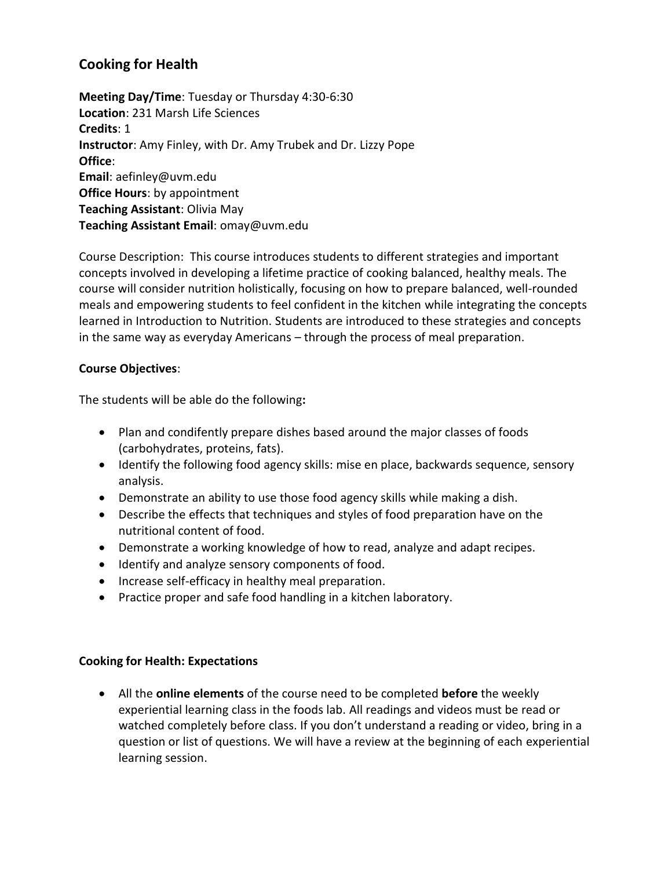# **Cooking for Health**

**Meeting Day/Time**: Tuesday or Thursday 4:30-6:30 **Location**: 231 Marsh Life Sciences **Credits**: 1 **Instructor**: Amy Finley, with Dr. Amy Trubek and Dr. Lizzy Pope **Office**: **Email**: aefinley@uvm.edu **Office Hours**: by appointment **Teaching Assistant**: Olivia May **Teaching Assistant Email**: omay@uvm.edu

Course Description: This course introduces students to different strategies and important concepts involved in developing a lifetime practice of cooking balanced, healthy meals. The course will consider nutrition holistically, focusing on how to prepare balanced, well-rounded meals and empowering students to feel confident in the kitchen while integrating the concepts learned in Introduction to Nutrition. Students are introduced to these strategies and concepts in the same way as everyday Americans – through the process of meal preparation.

## **Course Objectives**:

The students will be able do the following**:**

- Plan and condifently prepare dishes based around the major classes of foods (carbohydrates, proteins, fats).
- Identify the following food agency skills: mise en place, backwards sequence, sensory analysis.
- Demonstrate an ability to use those food agency skills while making a dish.
- Describe the effects that techniques and styles of food preparation have on the nutritional content of food.
- Demonstrate a working knowledge of how to read, analyze and adapt recipes.
- Identify and analyze sensory components of food.
- Increase self-efficacy in healthy meal preparation.
- Practice proper and safe food handling in a kitchen laboratory.

#### **Cooking for Health: Expectations**

 All the **online elements** of the course need to be completed **before** the weekly experiential learning class in the foods lab. All readings and videos must be read or watched completely before class. If you don't understand a reading or video, bring in a question or list of questions. We will have a review at the beginning of each experiential learning session.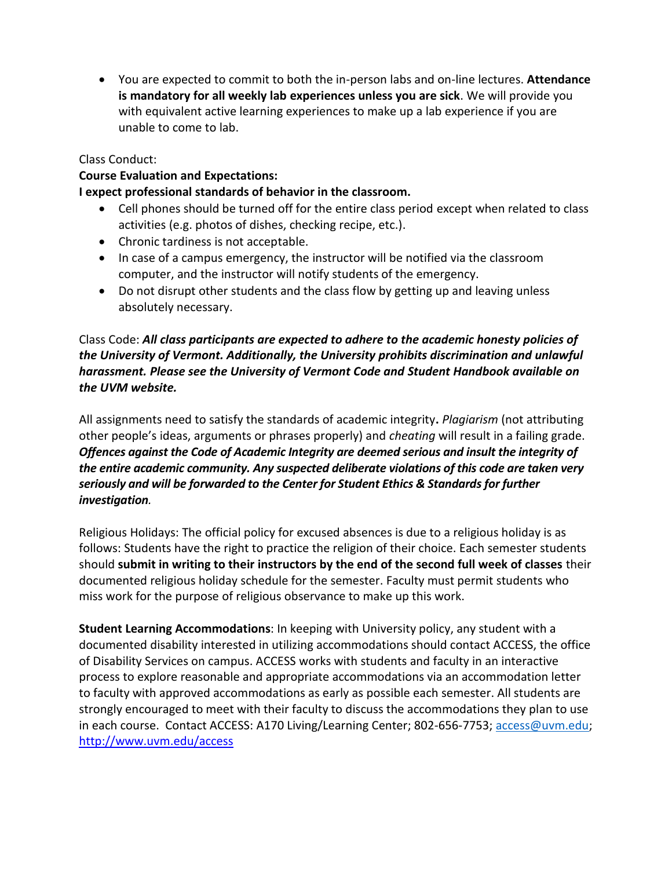You are expected to commit to both the in-person labs and on-line lectures. **Attendance is mandatory for all weekly lab experiences unless you are sick**. We will provide you with equivalent active learning experiences to make up a lab experience if you are unable to come to lab.

# Class Conduct:

#### **Course Evaluation and Expectations:**

## **I expect professional standards of behavior in the classroom.**

- Cell phones should be turned off for the entire class period except when related to class activities (e.g. photos of dishes, checking recipe, etc.).
- Chronic tardiness is not acceptable.
- In case of a campus emergency, the instructor will be notified via the classroom computer, and the instructor will notify students of the emergency.
- Do not disrupt other students and the class flow by getting up and leaving unless absolutely necessary.

# Class Code: *All class participants are expected to adhere to the academic honesty policies of the University of Vermont. Additionally, the University prohibits discrimination and unlawful harassment. Please see the University of Vermont Code and Student Handbook available on the UVM website.*

All assignments need to satisfy the standards of academic integrity**.** *Plagiarism* (not attributing other people's ideas, arguments or phrases properly) and *cheating* will result in a failing grade. *Offences against the Code of Academic Integrity are deemed serious and insult the integrity of the entire academic community. Any suspected deliberate violations of this code are taken very seriously and will be forwarded to the Center for Student Ethics & Standards for further investigation.*

Religious Holidays: The official policy for excused absences is due to a religious holiday is as follows: Students have the right to practice the religion of their choice. Each semester students should **submit in writing to their instructors by the end of the second full week of classes** their documented religious holiday schedule for the semester. Faculty must permit students who miss work for the purpose of religious observance to make up this work.

**Student Learning Accommodations**: In keeping with University policy, any student with a documented disability interested in utilizing accommodations should contact ACCESS, the office of Disability Services on campus. ACCESS works with students and faculty in an interactive process to explore reasonable and appropriate accommodations via an accommodation letter to faculty with approved accommodations as early as possible each semester. All students are strongly encouraged to meet with their faculty to discuss the accommodations they plan to use in each course. Contact ACCESS: A170 Living/Learning Center; 802-656-7753; [access@uvm.edu;](mailto:access@uvm.edu) <http://www.uvm.edu/access>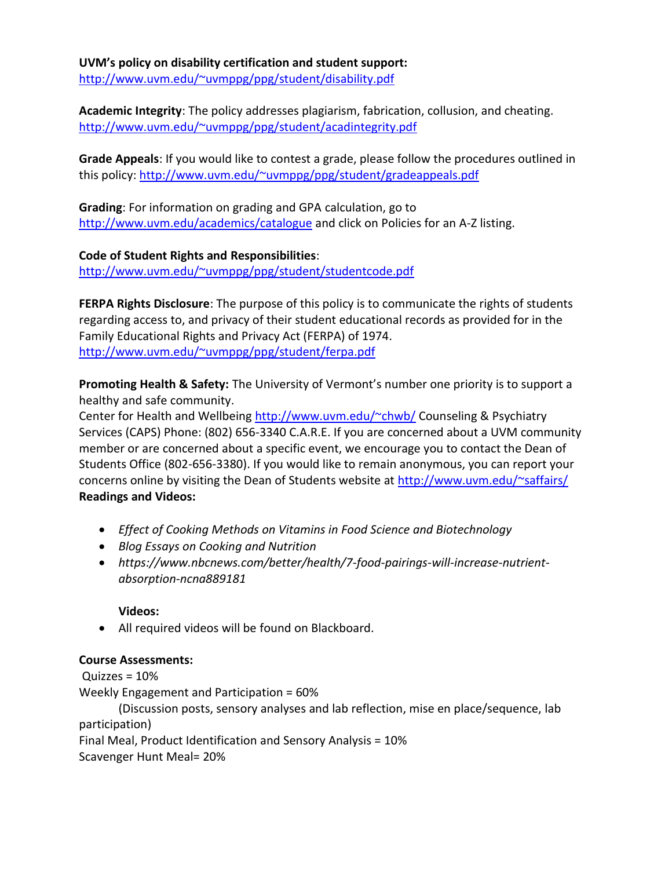**UVM's policy on disability certification and student support:** <http://www.uvm.edu/~uvmppg/ppg/student/disability.pdf>

**Academic Integrity**: The policy addresses plagiarism, fabrication, collusion, and cheating. <http://www.uvm.edu/~uvmppg/ppg/student/acadintegrity.pdf>

**Grade Appeals**: If you would like to contest a grade, please follow the procedures outlined in this policy:<http://www.uvm.edu/~uvmppg/ppg/student/gradeappeals.pdf>

**Grading**: For information on grading and GPA calculation, go to <http://www.uvm.edu/academics/catalogue> and click on Policies for an A-Z listing.

**Code of Student Rights and Responsibilities**: <http://www.uvm.edu/~uvmppg/ppg/student/studentcode.pdf>

**FERPA Rights Disclosure**: The purpose of this policy is to communicate the rights of students regarding access to, and privacy of their student educational records as provided for in the Family Educational Rights and Privacy Act (FERPA) of 1974. <http://www.uvm.edu/~uvmppg/ppg/student/ferpa.pdf>

**Promoting Health & Safety:** The University of Vermont's number one priority is to support a healthy and safe community.

Center for Health and Wellbeing<http://www.uvm.edu/~chwb/> Counseling & Psychiatry Services (CAPS) Phone: (802) 656-3340 C.A.R.E. If you are concerned about a UVM community member or are concerned about a specific event, we encourage you to contact the Dean of Students Office (802-656-3380). If you would like to remain anonymous, you can report your concerns online by visiting the Dean of Students website at<http://www.uvm.edu/~saffairs/> **Readings and Videos:**

- *Effect of Cooking Methods on Vitamins in Food Science and Biotechnology*
- *Blog Essays on Cooking and Nutrition*
- *https://www.nbcnews.com/better/health/7-food-pairings-will-increase-nutrientabsorption-ncna889181*

# **Videos:**

All required videos will be found on Blackboard.

# **Course Assessments:**

Quizzes = 10% Weekly Engagement and Participation = 60% (Discussion posts, sensory analyses and lab reflection, mise en place/sequence, lab participation)

Final Meal, Product Identification and Sensory Analysis = 10%

Scavenger Hunt Meal= 20%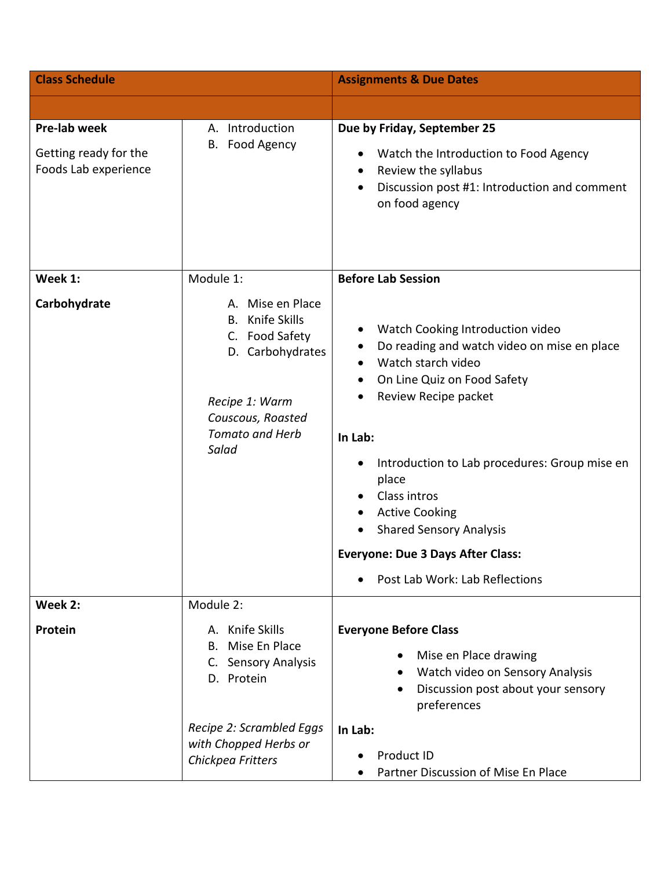| <b>Class Schedule</b>                                         |                                                                                                                                                                     | <b>Assignments &amp; Due Dates</b>                                                                                                                                                                                                                                                                                                                                                                                                                                  |
|---------------------------------------------------------------|---------------------------------------------------------------------------------------------------------------------------------------------------------------------|---------------------------------------------------------------------------------------------------------------------------------------------------------------------------------------------------------------------------------------------------------------------------------------------------------------------------------------------------------------------------------------------------------------------------------------------------------------------|
|                                                               |                                                                                                                                                                     |                                                                                                                                                                                                                                                                                                                                                                                                                                                                     |
| Pre-lab week<br>Getting ready for the<br>Foods Lab experience | A. Introduction<br>B. Food Agency                                                                                                                                   | Due by Friday, September 25<br>Watch the Introduction to Food Agency<br>٠<br>Review the syllabus<br>$\bullet$<br>Discussion post #1: Introduction and comment<br>$\bullet$<br>on food agency                                                                                                                                                                                                                                                                        |
| Week 1:<br>Carbohydrate                                       | Module 1:<br>A. Mise en Place<br>Knife Skills<br>В.<br>C. Food Safety<br>D. Carbohydrates<br>Recipe 1: Warm<br>Couscous, Roasted<br><b>Tomato and Herb</b><br>Salad | <b>Before Lab Session</b><br>Watch Cooking Introduction video<br>$\bullet$<br>Do reading and watch video on mise en place<br>٠<br>Watch starch video<br>$\bullet$<br>On Line Quiz on Food Safety<br>Review Recipe packet<br>In Lab:<br>Introduction to Lab procedures: Group mise en<br>$\bullet$<br>place<br>Class intros<br><b>Active Cooking</b><br><b>Shared Sensory Analysis</b><br><b>Everyone: Due 3 Days After Class:</b><br>Post Lab Work: Lab Reflections |
| Week 2:                                                       | Module 2:                                                                                                                                                           |                                                                                                                                                                                                                                                                                                                                                                                                                                                                     |
| Protein                                                       | A. Knife Skills<br>B. Mise En Place<br>C. Sensory Analysis<br>D. Protein                                                                                            | <b>Everyone Before Class</b><br>Mise en Place drawing<br>Watch video on Sensory Analysis<br>Discussion post about your sensory<br>$\bullet$<br>preferences                                                                                                                                                                                                                                                                                                          |
|                                                               | Recipe 2: Scrambled Eggs<br>with Chopped Herbs or<br>Chickpea Fritters                                                                                              | In Lab:<br>Product ID<br>Partner Discussion of Mise En Place                                                                                                                                                                                                                                                                                                                                                                                                        |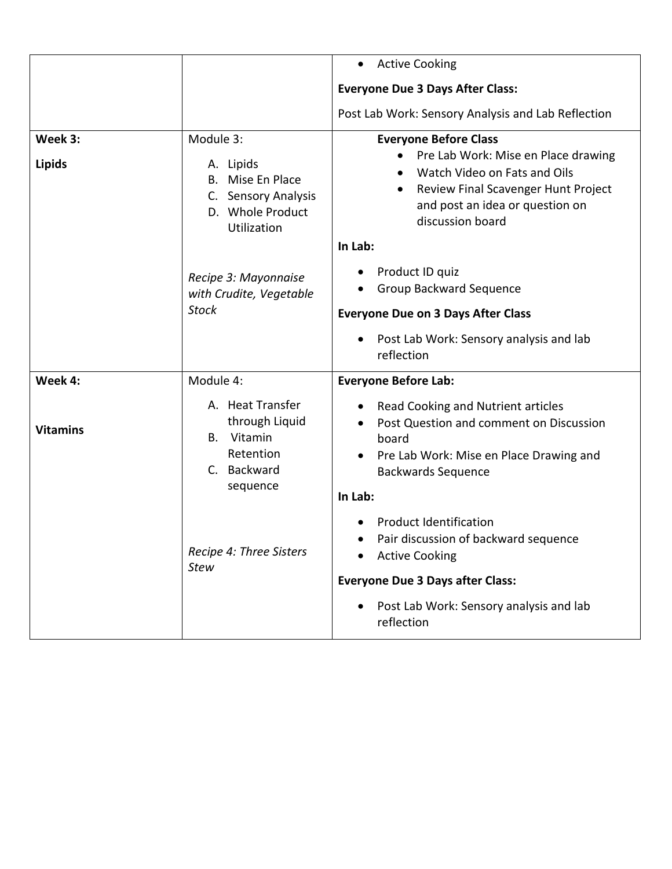|                          |                                                                                                      | <b>Active Cooking</b><br>$\bullet$                                                                                                                                                                                                                                     |
|--------------------------|------------------------------------------------------------------------------------------------------|------------------------------------------------------------------------------------------------------------------------------------------------------------------------------------------------------------------------------------------------------------------------|
|                          |                                                                                                      | <b>Everyone Due 3 Days After Class:</b>                                                                                                                                                                                                                                |
|                          |                                                                                                      | Post Lab Work: Sensory Analysis and Lab Reflection                                                                                                                                                                                                                     |
| Week 3:<br><b>Lipids</b> | Module 3:<br>A. Lipids<br>B. Mise En Place<br>C. Sensory Analysis<br>D. Whole Product<br>Utilization | <b>Everyone Before Class</b><br>Pre Lab Work: Mise en Place drawing<br>Watch Video on Fats and Oils<br>$\bullet$<br>Review Final Scavenger Hunt Project<br>$\bullet$<br>and post an idea or question on<br>discussion board<br>In Lab:<br>Product ID quiz<br>$\bullet$ |
|                          | Recipe 3: Mayonnaise<br>with Crudite, Vegetable<br><b>Stock</b>                                      | Group Backward Sequence<br><b>Everyone Due on 3 Days After Class</b><br>Post Lab Work: Sensory analysis and lab<br>$\bullet$<br>reflection                                                                                                                             |
| Week 4:                  | Module 4:                                                                                            | <b>Everyone Before Lab:</b>                                                                                                                                                                                                                                            |
| <b>Vitamins</b>          | A. Heat Transfer<br>through Liquid<br>Vitamin<br>В.<br>Retention<br>C. Backward<br>sequence          | Read Cooking and Nutrient articles<br>Post Question and comment on Discussion<br>$\bullet$<br>board<br>Pre Lab Work: Mise en Place Drawing and<br>$\bullet$<br><b>Backwards Sequence</b><br>In Lab:                                                                    |
|                          | Recipe 4: Three Sisters<br><b>Stew</b>                                                               | <b>Product Identification</b><br>Pair discussion of backward sequence<br><b>Active Cooking</b><br><b>Everyone Due 3 Days after Class:</b><br>Post Lab Work: Sensory analysis and lab<br>$\bullet$<br>reflection                                                        |